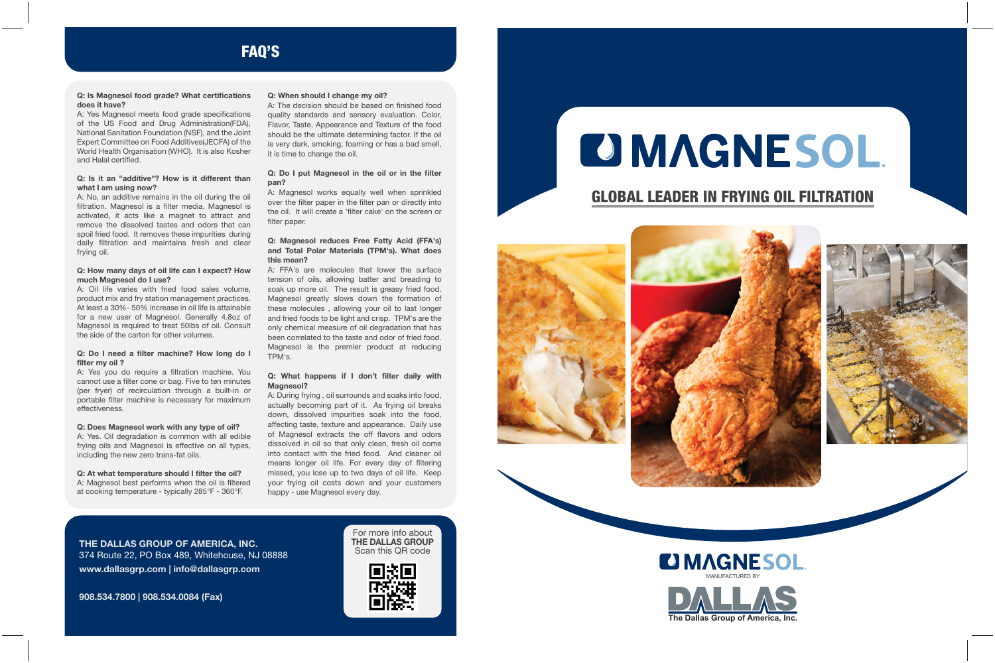

# **OMAGNESOL GLOBAL LEADER IN FRYING OIL FILTRATION**





## **FAQ'S**

**THE DALLAS GROUP OF AMERICA, INC.** 374 Route 22, PO Box 489, Whitehouse, NJ 08888 **www.dallasgrp.com | info@dallasgrp.com**

**908.534.7800 | 908.534.0084 (Fax)**

For more info about **THE DALLAS GROUP** Scan this QR code



### **Q: Is Magnesol food grade? What certifications does it have?**

A: Yes Magnesol meets food grade specifications of the US Food and Drug Administration(FDA), National Sanitation Foundation (NSF), and the Joint Expert Committee on Food Additives(JECFA) of the World Health Organisation (WHO). It is also Kosher and Halal certified.

### **Q: Is it an "additive"? How is it different than what I am using now?**

A: No, an additive remains in the oil during the oil filtration. Magnesol is a filter media. Magnesol is activated, it acts like a magnet to attract and remove the dissolved tastes and odors that can spoil fried food. It removes these impurities during daily filtration and maintains fresh and clear frying oil.

### **Q: How many days of oil life can I expect? How much Magnesol do I use?**

A: Oil life varies with fried food sales volume, product mix and fry station management practices. At least a 30%- 50% increase in oil life is attainable for a new user of Magnesol. Generally 4.8oz of Magnesol is required to treat 50lbs of oil. Consult the side of the carton for other volumes.

### **Q: Do I need a filter machine? How long do I filter my oil ?**

A: Yes you do require a filtration machine. You cannot use a filter cone or bag. Five to ten minutes (per fryer) of recirculation through a built-in or portable filter machine is necessary for maximum effectiveness.

### **Q: Does Magnesol work with any type of oil?**

A: Yes. Oil degradation is common with all edible frying oils and Magnesol is effective on all types, including the new zero trans-fat oils.

**Q: At what temperature should I filter the oil?** A: Magnesol best performs when the oil is filtered at cooking temperature - typically 285°F - 360°F.

### **Q: When should I change my oil?**

A: The decision should be based on finished food quality standards and sensory evaluation. Color, Flavor, Taste, Appearance and Texture of the food should be the ultimate determining factor. If the oil is very dark, smoking, foaming or has a bad smell, it is time to change the oil.

### **Q: Do I put Magnesol in the oil or in the filter pan?**

A: Magnesol works equally well when sprinkled over the filter paper in the filter pan or directly into the oil. It will create a 'filter cake' on the screen or filter paper.

### **Q: Magnesol reduces Free Fatty Acid (FFA's) and Total Polar Materials (TPM's). What does this mean?**

A: FFA's are molecules that lower the surface tension of oils, allowing batter and breading to soak up more oil. The result is greasy fried food. Magnesol greatly slows down the formation of these molecules , allowing your oil to last longer and fried foods to be light and crisp. TPM's are the only chemical measure of oil degradation that has been correlated to the taste and odor of fried food. Magnesol is the premier product at reducing TPM's.

### **Q: What happens if I don't filter daily with Magnesol?**

A: During frying , oil surrounds and soaks into food, actually becoming part of it. As frying oil breaks down, dissolved impurities soak into the food, affecting taste, texture and appearance. Daily use of Magnesol extracts the off flavors and odors dissolved in oil so that only clean, fresh oil come into contact with the fried food. And cleaner oil means longer oil life. For every day of filtering missed, you lose up to two days of oil life. Keep your frying oil costs down and your customers happy - use Magnesol every day.